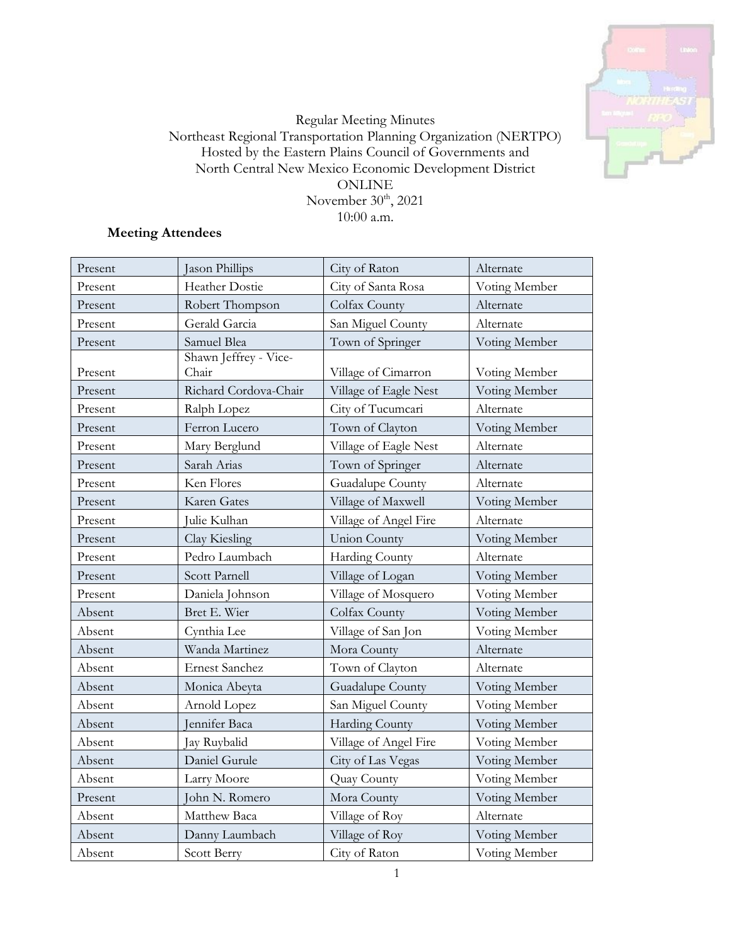

# Regular Meeting Minutes Northeast Regional Transportation Planning Organization (NERTPO) Hosted by the Eastern Plains Council of Governments and North Central New Mexico Economic Development District ONLINE November  $30^{\rm th}$ , 2021 10:00 a.m.

# **Meeting Attendees**

| Present | Jason Phillips                 | City of Raton         | Alternate     |
|---------|--------------------------------|-----------------------|---------------|
| Present | Heather Dostie                 | City of Santa Rosa    | Voting Member |
| Present | Robert Thompson                | Colfax County         | Alternate     |
| Present | Gerald Garcia                  | San Miguel County     | Alternate     |
| Present | Samuel Blea                    | Town of Springer      | Voting Member |
| Present | Shawn Jeffrey - Vice-<br>Chair | Village of Cimarron   | Voting Member |
| Present | Richard Cordova-Chair          | Village of Eagle Nest | Voting Member |
| Present | Ralph Lopez                    | City of Tucumcari     | Alternate     |
| Present | Ferron Lucero                  | Town of Clayton       | Voting Member |
| Present | Mary Berglund                  | Village of Eagle Nest | Alternate     |
| Present | Sarah Arias                    | Town of Springer      | Alternate     |
| Present | Ken Flores                     | Guadalupe County      | Alternate     |
| Present | Karen Gates                    | Village of Maxwell    | Voting Member |
| Present | Julie Kulhan                   | Village of Angel Fire | Alternate     |
| Present | Clay Kiesling                  | <b>Union County</b>   | Voting Member |
| Present | Pedro Laumbach                 | <b>Harding County</b> | Alternate     |
| Present | Scott Parnell                  | Village of Logan      | Voting Member |
| Present | Daniela Johnson                | Village of Mosquero   | Voting Member |
| Absent  | Bret E. Wier                   | Colfax County         | Voting Member |
| Absent  | Cynthia Lee                    | Village of San Jon    | Voting Member |
| Absent  | Wanda Martinez                 | Mora County           | Alternate     |
| Absent  | <b>Ernest Sanchez</b>          | Town of Clayton       | Alternate     |
| Absent  | Monica Abeyta                  | Guadalupe County      | Voting Member |
| Absent  | Arnold Lopez                   | San Miguel County     | Voting Member |
| Absent  | Jennifer Baca                  | Harding County        | Voting Member |
| Absent  | Jay Ruybalid                   | Village of Angel Fire | Voting Member |
| Absent  | Daniel Gurule                  | City of Las Vegas     | Voting Member |
| Absent  | Larry Moore                    | Quay County           | Voting Member |
| Present | John N. Romero                 | Mora County           | Voting Member |
| Absent  | Matthew Baca                   | Village of Roy        | Alternate     |
| Absent  | Danny Laumbach                 | Village of Roy        | Voting Member |
| Absent  | Scott Berry                    | City of Raton         | Voting Member |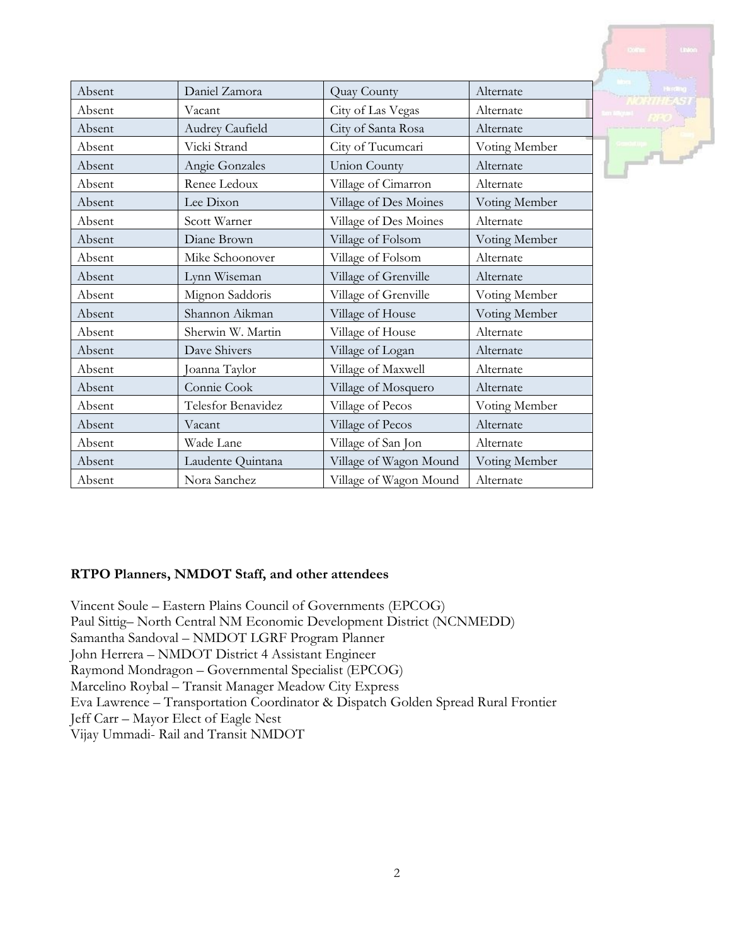| Absent | Daniel Zamora      | Quay County            | Alternate     |
|--------|--------------------|------------------------|---------------|
| Absent | Vacant             | City of Las Vegas      | Alternate     |
| Absent | Audrey Caufield    | City of Santa Rosa     | Alternate     |
| Absent | Vicki Strand       | City of Tucumcari      | Voting Member |
| Absent | Angie Gonzales     | <b>Union County</b>    | Alternate     |
| Absent | Renee Ledoux       | Village of Cimarron    | Alternate     |
| Absent | Lee Dixon          | Village of Des Moines  | Voting Member |
| Absent | Scott Warner       | Village of Des Moines  | Alternate     |
| Absent | Diane Brown        | Village of Folsom      | Voting Member |
| Absent | Mike Schoonover    | Village of Folsom      | Alternate     |
| Absent | Lynn Wiseman       | Village of Grenville   | Alternate     |
| Absent | Mignon Saddoris    | Village of Grenville   | Voting Member |
| Absent | Shannon Aikman     | Village of House       | Voting Member |
| Absent | Sherwin W. Martin  | Village of House       | Alternate     |
| Absent | Dave Shivers       | Village of Logan       | Alternate     |
| Absent | Joanna Taylor      | Village of Maxwell     | Alternate     |
| Absent | Connie Cook        | Village of Mosquero    | Alternate     |
| Absent | Telesfor Benavidez | Village of Pecos       | Voting Member |
| Absent | Vacant             | Village of Pecos       | Alternate     |
| Absent | Wade Lane          | Village of San Jon     | Alternate     |
| Absent | Laudente Quintana  | Village of Wagon Mound | Voting Member |
| Absent | Nora Sanchez       | Village of Wagon Mound | Alternate     |

# **RTPO Planners, NMDOT Staff, and other attendees**

Vincent Soule – Eastern Plains Council of Governments (EPCOG) Paul Sittig– North Central NM Economic Development District (NCNMEDD) Samantha Sandoval – NMDOT LGRF Program Planner John Herrera – NMDOT District 4 Assistant Engineer Raymond Mondragon – Governmental Specialist (EPCOG) Marcelino Roybal – Transit Manager Meadow City Express Eva Lawrence – Transportation Coordinator & Dispatch Golden Spread Rural Frontier Jeff Carr – Mayor Elect of Eagle Nest Vijay Ummadi- Rail and Transit NMDOT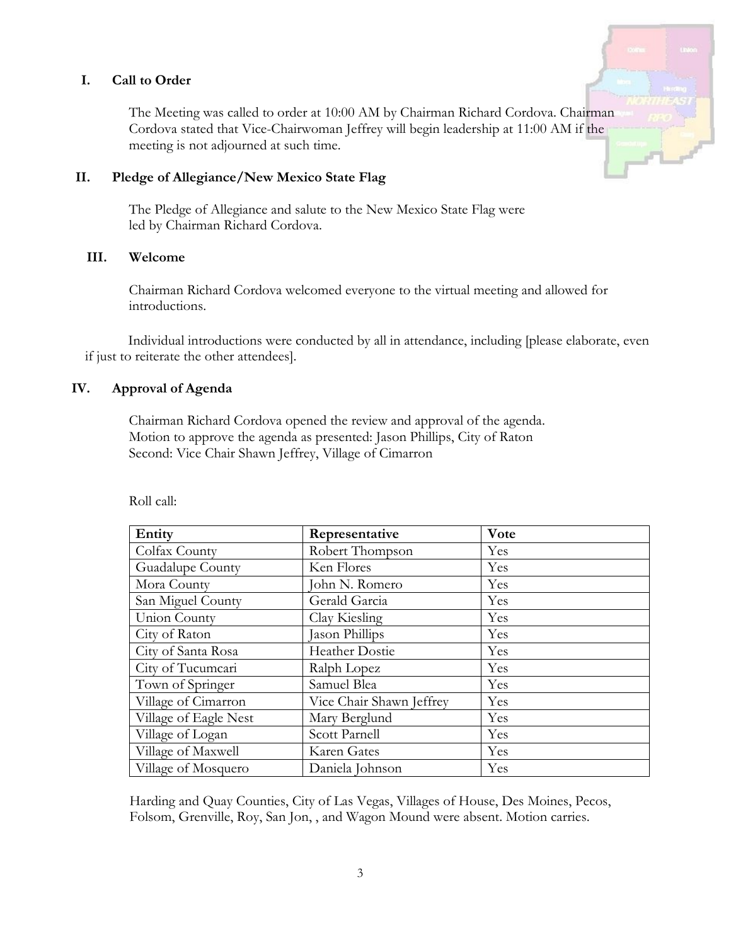### **I. Call to Order**

The Meeting was called to order at 10:00 AM by Chairman Richard Cordova. Chairman Cordova stated that Vice-Chairwoman Jeffrey will begin leadership at 11:00 AM if the meeting is not adjourned at such time.

#### **II. Pledge of Allegiance/New Mexico State Flag**

The Pledge of Allegiance and salute to the New Mexico State Flag were led by Chairman Richard Cordova.

## **III. Welcome**

Chairman Richard Cordova welcomed everyone to the virtual meeting and allowed for introductions.

Individual introductions were conducted by all in attendance, including [please elaborate, even if just to reiterate the other attendees].

### **IV. Approval of Agenda**

Chairman Richard Cordova opened the review and approval of the agenda. Motion to approve the agenda as presented: Jason Phillips, City of Raton Second: Vice Chair Shawn Jeffrey, Village of Cimarron

| Entity                | Representative           | Vote |
|-----------------------|--------------------------|------|
| Colfax County         | Robert Thompson          | Yes  |
| Guadalupe County      | Ken Flores               | Yes  |
| Mora County           | John N. Romero           | Yes  |
| San Miguel County     | Gerald Garcia            | Yes  |
| Union County          | Clay Kiesling            | Yes  |
| City of Raton         | Jason Phillips           | Yes  |
| City of Santa Rosa    | Heather Dostie           | Yes  |
| City of Tucumcari     | Ralph Lopez              | Yes  |
| Town of Springer      | Samuel Blea              | Yes  |
| Village of Cimarron   | Vice Chair Shawn Jeffrey | Yes  |
| Village of Eagle Nest | Mary Berglund            | Yes  |
| Village of Logan      | Scott Parnell            | Yes  |
| Village of Maxwell    | Karen Gates              | Yes  |
| Village of Mosquero   | Daniela Johnson          | Yes  |

Roll call:

Harding and Quay Counties, City of Las Vegas, Villages of House, Des Moines, Pecos, Folsom, Grenville, Roy, San Jon, , and Wagon Mound were absent. Motion carries.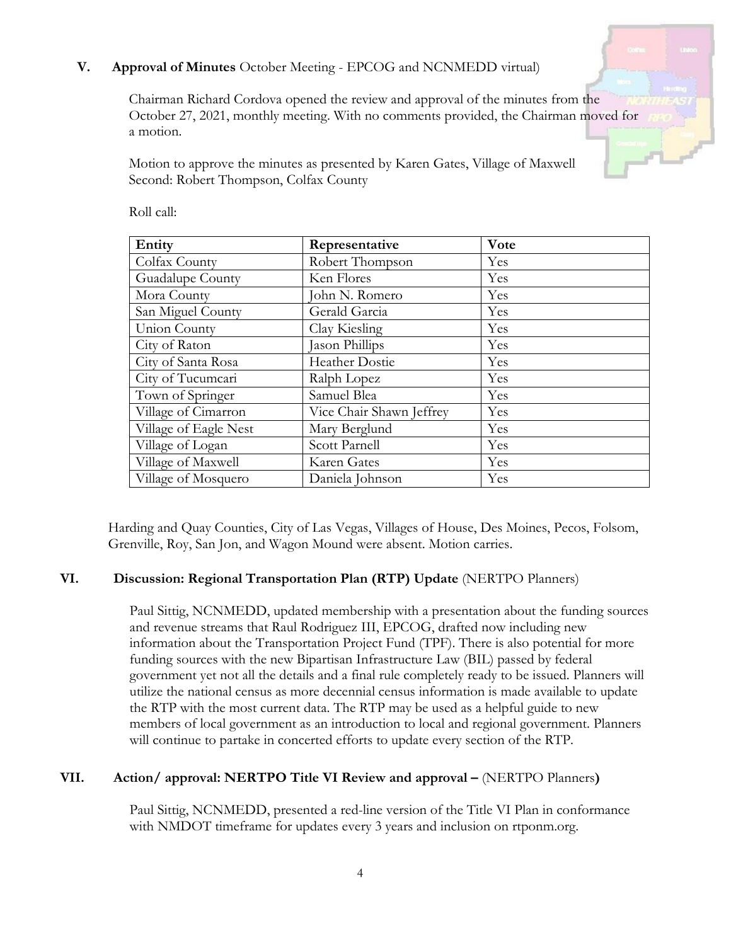# **V. Approval of Minutes** October Meeting - EPCOG and NCNMEDD virtual)

Chairman Richard Cordova opened the review and approval of the minutes from the October 27, 2021, monthly meeting. With no comments provided, the Chairman moved for a motion.

Motion to approve the minutes as presented by Karen Gates, Village of Maxwell Second: Robert Thompson, Colfax County

| Entity                | Representative           | Vote |
|-----------------------|--------------------------|------|
| Colfax County         | Robert Thompson          | Yes  |
| Guadalupe County      | Ken Flores               | Yes  |
| Mora County           | John N. Romero           | Yes  |
| San Miguel County     | Gerald Garcia            | Yes  |
| Union County          | Clay Kiesling            | Yes  |
| City of Raton         | Jason Phillips           | Yes  |
| City of Santa Rosa    | Heather Dostie           | Yes  |
| City of Tucumcari     | Ralph Lopez              | Yes  |
| Town of Springer      | Samuel Blea              | Yes  |
| Village of Cimarron   | Vice Chair Shawn Jeffrey | Yes  |
| Village of Eagle Nest | Mary Berglund            | Yes  |
| Village of Logan      | Scott Parnell            | Yes  |
| Village of Maxwell    | Karen Gates              | Yes  |
| Village of Mosquero   | Daniela Johnson          | Yes  |

Roll call:

Harding and Quay Counties, City of Las Vegas, Villages of House, Des Moines, Pecos, Folsom, Grenville, Roy, San Jon, and Wagon Mound were absent. Motion carries.

## **VI. Discussion: Regional Transportation Plan (RTP) Update** (NERTPO Planners)

Paul Sittig, NCNMEDD, updated membership with a presentation about the funding sources and revenue streams that Raul Rodriguez III, EPCOG, drafted now including new information about the Transportation Project Fund (TPF). There is also potential for more funding sources with the new Bipartisan Infrastructure Law (BIL) passed by federal government yet not all the details and a final rule completely ready to be issued. Planners will utilize the national census as more decennial census information is made available to update the RTP with the most current data. The RTP may be used as a helpful guide to new members of local government as an introduction to local and regional government. Planners will continue to partake in concerted efforts to update every section of the RTP.

## **VII. Action/ approval: NERTPO Title VI Review and approval –** (NERTPO Planners**)**

Paul Sittig, NCNMEDD, presented a red-line version of the Title VI Plan in conformance with NMDOT timeframe for updates every 3 years and inclusion on rtponm.org.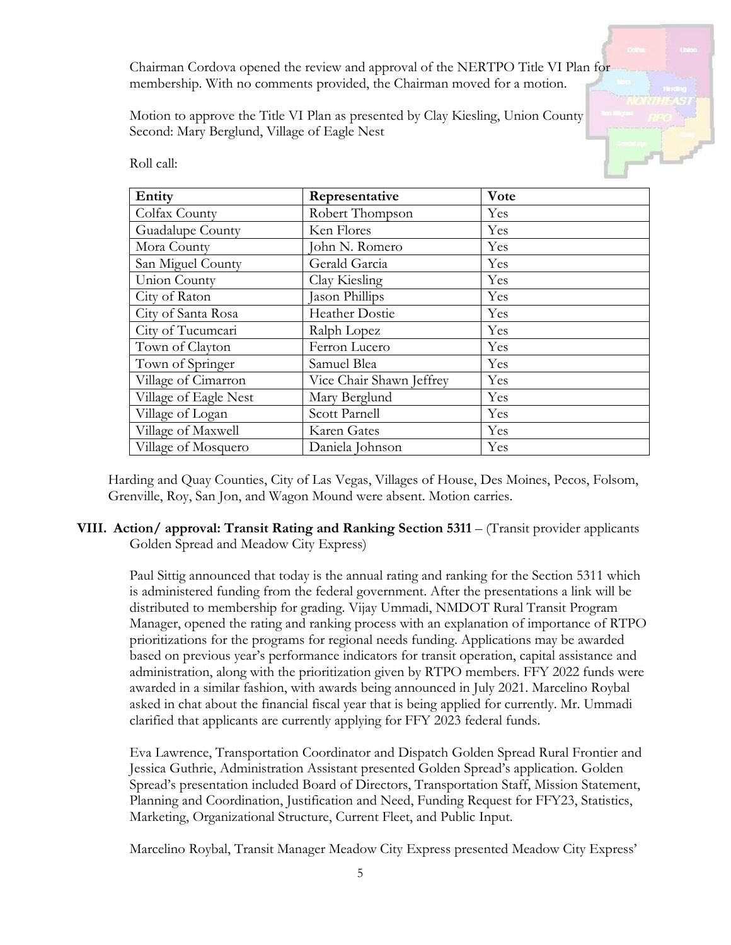Chairman Cordova opened the review and approval of the NERTPO Title VI Plan for membership. With no comments provided, the Chairman moved for a motion.

Motion to approve the Title VI Plan as presented by Clay Kiesling, Union County Second: Mary Berglund, Village of Eagle Nest



Roll call:

| Entity                | Representative           | Vote |
|-----------------------|--------------------------|------|
| Colfax County         | Robert Thompson          | Yes  |
| Guadalupe County      | Ken Flores               | Yes  |
| Mora County           | John N. Romero           | Yes  |
| San Miguel County     | Gerald Garcia            | Yes  |
| Union County          | Clay Kiesling            | Yes  |
| City of Raton         | Jason Phillips           | Yes  |
| City of Santa Rosa    | <b>Heather Dostie</b>    | Yes  |
| City of Tucumcari     | Ralph Lopez              | Yes  |
| Town of Clayton       | Ferron Lucero            | Yes  |
| Town of Springer      | Samuel Blea              | Yes  |
| Village of Cimarron   | Vice Chair Shawn Jeffrey | Yes  |
| Village of Eagle Nest | Mary Berglund            | Yes  |
| Village of Logan      | Scott Parnell            | Yes  |
| Village of Maxwell    | Karen Gates              | Yes  |
| Village of Mosquero   | Daniela Johnson          | Yes  |

Harding and Quay Counties, City of Las Vegas, Villages of House, Des Moines, Pecos, Folsom, Grenville, Roy, San Jon, and Wagon Mound were absent. Motion carries.

# **VIII. Action/ approval: Transit Rating and Ranking Section 5311** – (Transit provider applicants Golden Spread and Meadow City Express)

Paul Sittig announced that today is the annual rating and ranking for the Section 5311 which is administered funding from the federal government. After the presentations a link will be distributed to membership for grading. Vijay Ummadi, NMDOT Rural Transit Program Manager, opened the rating and ranking process with an explanation of importance of RTPO prioritizations for the programs for regional needs funding. Applications may be awarded based on previous year's performance indicators for transit operation, capital assistance and administration, along with the prioritization given by RTPO members. FFY 2022 funds were awarded in a similar fashion, with awards being announced in July 2021. Marcelino Roybal asked in chat about the financial fiscal year that is being applied for currently. Mr. Ummadi clarified that applicants are currently applying for FFY 2023 federal funds.

Eva Lawrence, Transportation Coordinator and Dispatch Golden Spread Rural Frontier and Jessica Guthrie, Administration Assistant presented Golden Spread's application. Golden Spread's presentation included Board of Directors, Transportation Staff, Mission Statement, Planning and Coordination, Justification and Need, Funding Request for FFY23, Statistics, Marketing, Organizational Structure, Current Fleet, and Public Input.

Marcelino Roybal, Transit Manager Meadow City Express presented Meadow City Express'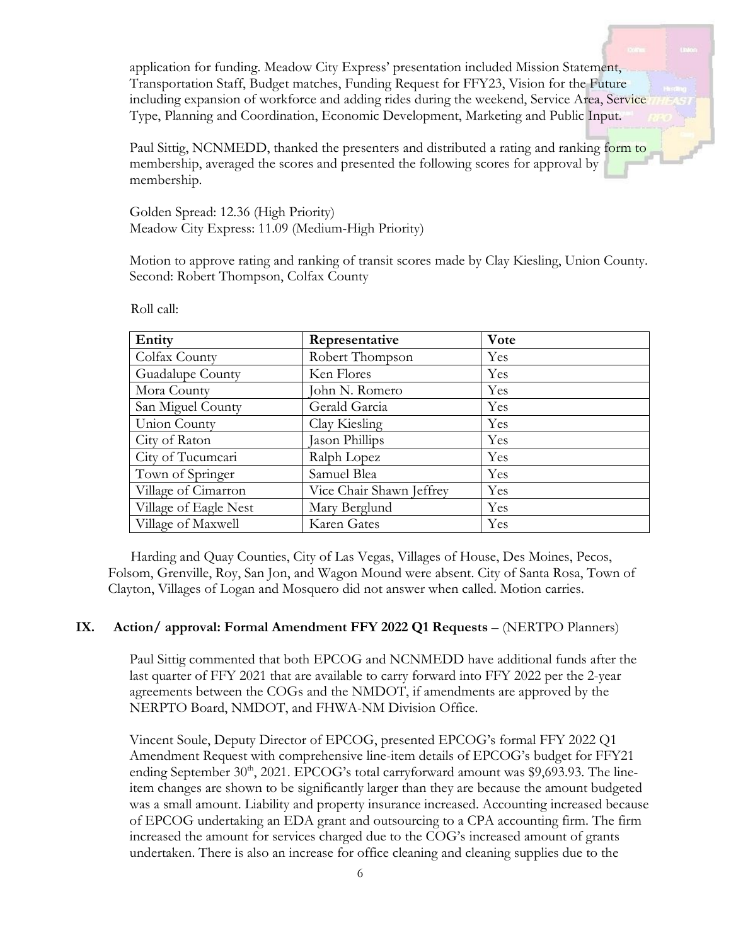application for funding. Meadow City Express' presentation included Mission Statement, Transportation Staff, Budget matches, Funding Request for FFY23, Vision for the Future including expansion of workforce and adding rides during the weekend, Service Area, Service Type, Planning and Coordination, Economic Development, Marketing and Public Input.

Paul Sittig, NCNMEDD, thanked the presenters and distributed a rating and ranking form to membership, averaged the scores and presented the following scores for approval by membership.

Golden Spread: 12.36 (High Priority) Meadow City Express: 11.09 (Medium-High Priority)

Motion to approve rating and ranking of transit scores made by Clay Kiesling, Union County. Second: Robert Thompson, Colfax County

| Entity                | Representative           | Vote |
|-----------------------|--------------------------|------|
| Colfax County         | Robert Thompson          | Yes  |
| Guadalupe County      | Ken Flores               | Yes  |
| Mora County           | John N. Romero           | Yes  |
| San Miguel County     | Gerald Garcia            | Yes  |
| Union County          | Clay Kiesling            | Yes  |
| City of Raton         | Jason Phillips           | Yes  |
| City of Tucumcari     | Ralph Lopez              | Yes  |
| Town of Springer      | Samuel Blea              | Yes  |
| Village of Cimarron   | Vice Chair Shawn Jeffrey | Yes  |
| Village of Eagle Nest | Mary Berglund            | Yes  |
| Village of Maxwell    | Karen Gates              | Yes  |

Roll call:

Harding and Quay Counties, City of Las Vegas, Villages of House, Des Moines, Pecos, Folsom, Grenville, Roy, San Jon, and Wagon Mound were absent. City of Santa Rosa, Town of Clayton, Villages of Logan and Mosquero did not answer when called. Motion carries.

#### **IX. Action/ approval: Formal Amendment FFY 2022 Q1 Requests** – (NERTPO Planners)

Paul Sittig commented that both EPCOG and NCNMEDD have additional funds after the last quarter of FFY 2021 that are available to carry forward into FFY 2022 per the 2-year agreements between the COGs and the NMDOT, if amendments are approved by the NERPTO Board, NMDOT, and FHWA-NM Division Office.

Vincent Soule, Deputy Director of EPCOG, presented EPCOG's formal FFY 2022 Q1 Amendment Request with comprehensive line-item details of EPCOG's budget for FFY21 ending September  $30<sup>th</sup>$ , 2021. EPCOG's total carryforward amount was \$9,693.93. The lineitem changes are shown to be significantly larger than they are because the amount budgeted was a small amount. Liability and property insurance increased. Accounting increased because of EPCOG undertaking an EDA grant and outsourcing to a CPA accounting firm. The firm increased the amount for services charged due to the COG's increased amount of grants undertaken. There is also an increase for office cleaning and cleaning supplies due to the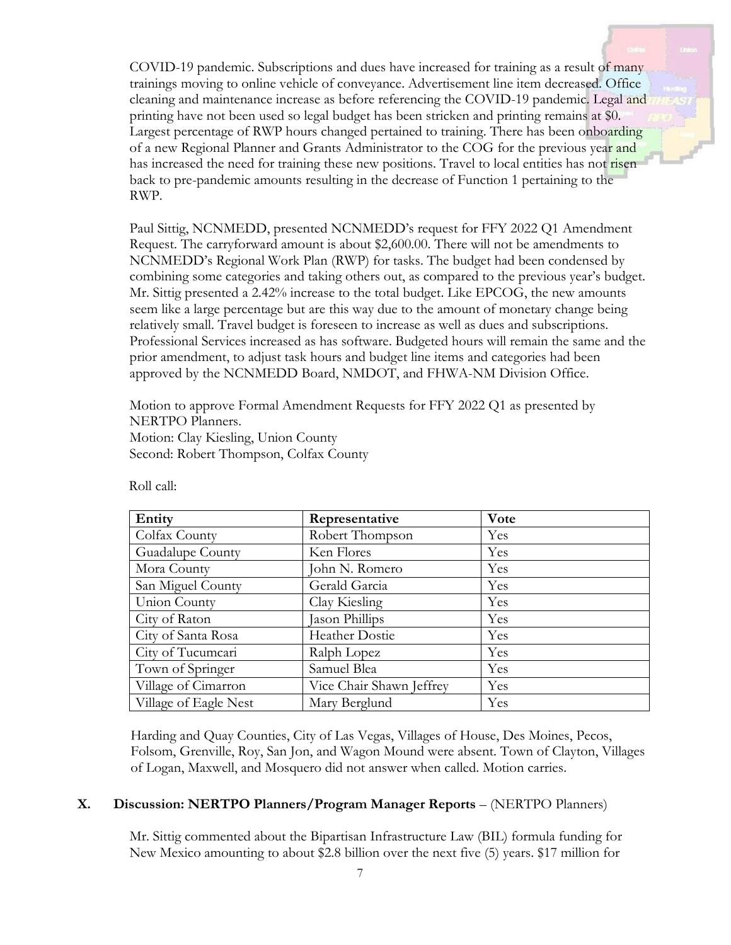COVID-19 pandemic. Subscriptions and dues have increased for training as a result of many trainings moving to online vehicle of conveyance. Advertisement line item decreased. Office cleaning and maintenance increase as before referencing the COVID-19 pandemic. Legal and printing have not been used so legal budget has been stricken and printing remains at \$0. Largest percentage of RWP hours changed pertained to training. There has been onboarding of a new Regional Planner and Grants Administrator to the COG for the previous year and has increased the need for training these new positions. Travel to local entities has not risen back to pre-pandemic amounts resulting in the decrease of Function 1 pertaining to the RWP.

Paul Sittig, NCNMEDD, presented NCNMEDD's request for FFY 2022 Q1 Amendment Request. The carryforward amount is about \$2,600.00. There will not be amendments to NCNMEDD's Regional Work Plan (RWP) for tasks. The budget had been condensed by combining some categories and taking others out, as compared to the previous year's budget. Mr. Sittig presented a 2.42% increase to the total budget. Like EPCOG, the new amounts seem like a large percentage but are this way due to the amount of monetary change being relatively small. Travel budget is foreseen to increase as well as dues and subscriptions. Professional Services increased as has software. Budgeted hours will remain the same and the prior amendment, to adjust task hours and budget line items and categories had been approved by the NCNMEDD Board, NMDOT, and FHWA-NM Division Office.

Motion to approve Formal Amendment Requests for FFY 2022 Q1 as presented by NERTPO Planners. Motion: Clay Kiesling, Union County Second: Robert Thompson, Colfax County

| Entity                | Representative           | Vote |
|-----------------------|--------------------------|------|
| Colfax County         | Robert Thompson          | Yes  |
| Guadalupe County      | Ken Flores               | Yes  |
| Mora County           | John N. Romero           | Yes  |
| San Miguel County     | Gerald Garcia            | Yes  |
| Union County          | Clay Kiesling            | Yes  |
| City of Raton         | Jason Phillips           | Yes  |
| City of Santa Rosa    | <b>Heather Dostie</b>    | Yes  |
| City of Tucumcari     | Ralph Lopez              | Yes  |
| Town of Springer      | Samuel Blea              | Yes  |
| Village of Cimarron   | Vice Chair Shawn Jeffrey | Yes  |
| Village of Eagle Nest | Mary Berglund            | Yes  |

Roll call:

Harding and Quay Counties, City of Las Vegas, Villages of House, Des Moines, Pecos, Folsom, Grenville, Roy, San Jon, and Wagon Mound were absent. Town of Clayton, Villages of Logan, Maxwell, and Mosquero did not answer when called. Motion carries.

## **X. Discussion: NERTPO Planners/Program Manager Reports** – (NERTPO Planners)

Mr. Sittig commented about the Bipartisan Infrastructure Law (BIL) formula funding for New Mexico amounting to about \$2.8 billion over the next five (5) years. \$17 million for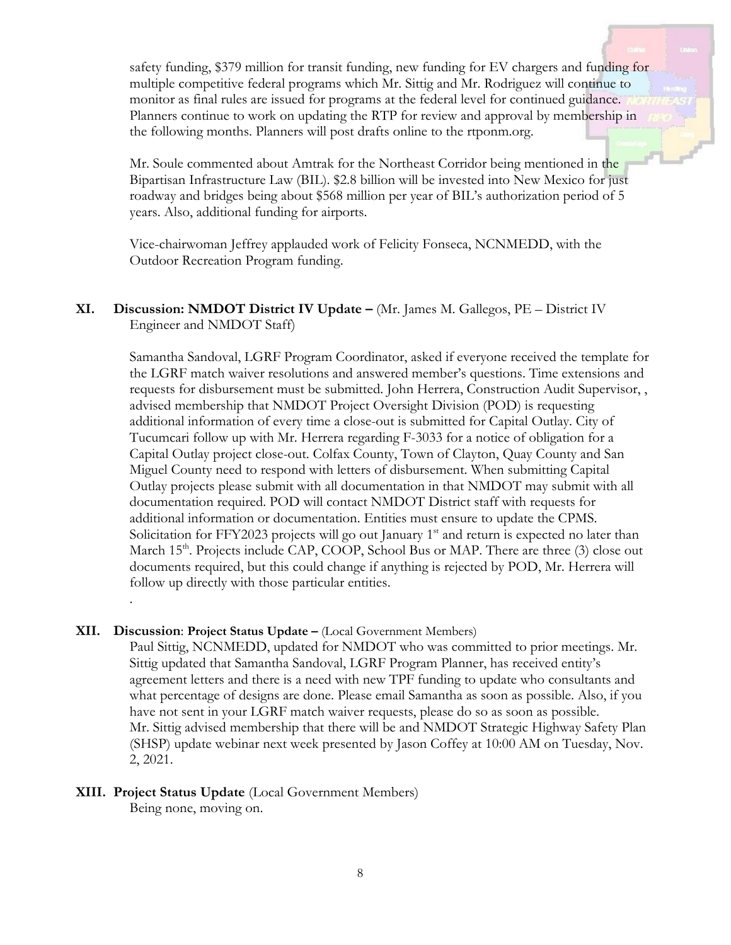safety funding, \$379 million for transit funding, new funding for EV chargers and funding for multiple competitive federal programs which Mr. Sittig and Mr. Rodriguez will continue to monitor as final rules are issued for programs at the federal level for continued guidance. Planners continue to work on updating the RTP for review and approval by membership in the following months. Planners will post drafts online to the rtponm.org.

Mr. Soule commented about Amtrak for the Northeast Corridor being mentioned in the Bipartisan Infrastructure Law (BIL). \$2.8 billion will be invested into New Mexico for just roadway and bridges being about \$568 million per year of BIL's authorization period of 5 years. Also, additional funding for airports.

Vice-chairwoman Jeffrey applauded work of Felicity Fonseca, NCNMEDD, with the Outdoor Recreation Program funding.

**XI. Discussion: NMDOT District IV Update –** (Mr. James M. Gallegos, PE – District IV Engineer and NMDOT Staff)

> Samantha Sandoval, LGRF Program Coordinator, asked if everyone received the template for the LGRF match waiver resolutions and answered member's questions. Time extensions and requests for disbursement must be submitted. John Herrera, Construction Audit Supervisor, , advised membership that NMDOT Project Oversight Division (POD) is requesting additional information of every time a close-out is submitted for Capital Outlay. City of Tucumcari follow up with Mr. Herrera regarding F-3033 for a notice of obligation for a Capital Outlay project close-out. Colfax County, Town of Clayton, Quay County and San Miguel County need to respond with letters of disbursement. When submitting Capital Outlay projects please submit with all documentation in that NMDOT may submit with all documentation required. POD will contact NMDOT District staff with requests for additional information or documentation. Entities must ensure to update the CPMS. Solicitation for FFY2023 projects will go out January  $1<sup>st</sup>$  and return is expected no later than March 15<sup>th</sup>. Projects include CAP, COOP, School Bus or MAP. There are three (3) close out documents required, but this could change if anything is rejected by POD, Mr. Herrera will follow up directly with those particular entities.

#### **XII. Discussion**: **Project Status Update –** (Local Government Members)

.

Paul Sittig, NCNMEDD, updated for NMDOT who was committed to prior meetings. Mr. Sittig updated that Samantha Sandoval, LGRF Program Planner, has received entity's agreement letters and there is a need with new TPF funding to update who consultants and what percentage of designs are done. Please email Samantha as soon as possible. Also, if you have not sent in your LGRF match waiver requests, please do so as soon as possible. Mr. Sittig advised membership that there will be and NMDOT Strategic Highway Safety Plan (SHSP) update webinar next week presented by Jason Coffey at 10:00 AM on Tuesday, Nov. 2, 2021.

#### **XIII. Project Status Update** (Local Government Members) Being none, moving on.